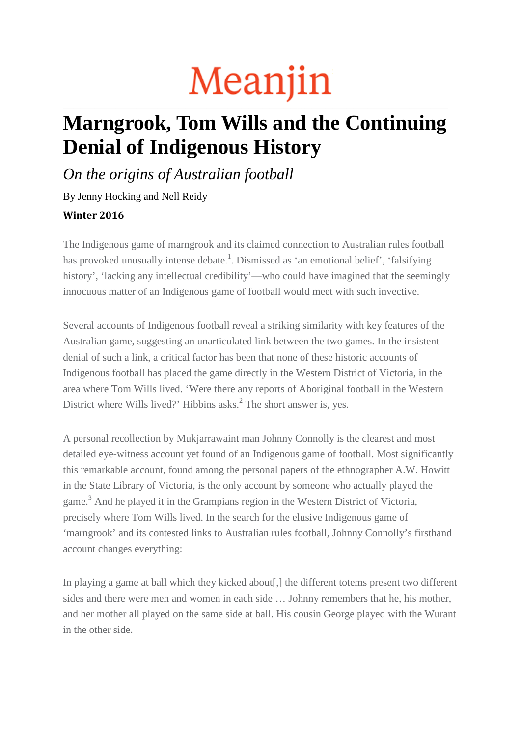## Meanjin **\_\_\_\_\_\_\_\_\_\_\_\_\_\_\_\_\_\_\_\_\_\_\_\_\_\_\_\_\_\_\_\_\_\_\_\_\_\_\_\_\_\_\_\_\_\_\_\_\_\_\_\_\_\_\_\_\_\_\_\_\_\_\_\_\_\_\_\_\_\_\_\_\_\_\_\_\_\_\_\_\_\_\_\_\_\_\_\_\_\_\_\_\_\_\_\_\_\_\_\_\_\_\_\_\_\_\_\_\_\_**

## **Marngrook, Tom Wills and the Continuing Denial of Indigenous History**

*On the origins of Australian football*

By Jenny Hocking and Nell Reidy **Winter 2016**

The Indigenous game of marngrook and its claimed connection to Australian rules football has provoked unusually intense debate.<sup>1</sup>. Dismissed as 'an emotional belief', 'falsifying history', 'lacking any intellectual credibility'—who could have imagined that the seemingly innocuous matter of an Indigenous game of football would meet with such invective.

Several accounts of Indigenous football reveal a striking similarity with key features of the Australian game, suggesting an unarticulated link between the two games. In the insistent denial of such a link, a critical factor has been that none of these historic accounts of Indigenous football has placed the game directly in the Western District of Victoria, in the area where Tom Wills lived. 'Were there any reports of Aboriginal football in the Western District where Wills lived?' Hibbins asks.<sup>2</sup> The short answer is, yes.

A personal recollection by Mukjarrawaint man Johnny Connolly is the clearest and most detailed eye-witness account yet found of an Indigenous game of football. Most significantly this remarkable account, found among the personal papers of the ethnographer A.W. Howitt in the State Library of Victoria, is the only account by someone who actually played the game.3 And he played it in the Grampians region in the Western District of Victoria, precisely where Tom Wills lived. In the search for the elusive Indigenous game of 'marngrook' and its contested links to Australian rules football, Johnny Connolly's firsthand account changes everything:

In playing a game at ball which they kicked about. I the different totems present two different sides and there were men and women in each side … Johnny remembers that he, his mother, and her mother all played on the same side at ball. His cousin George played with the Wurant in the other side.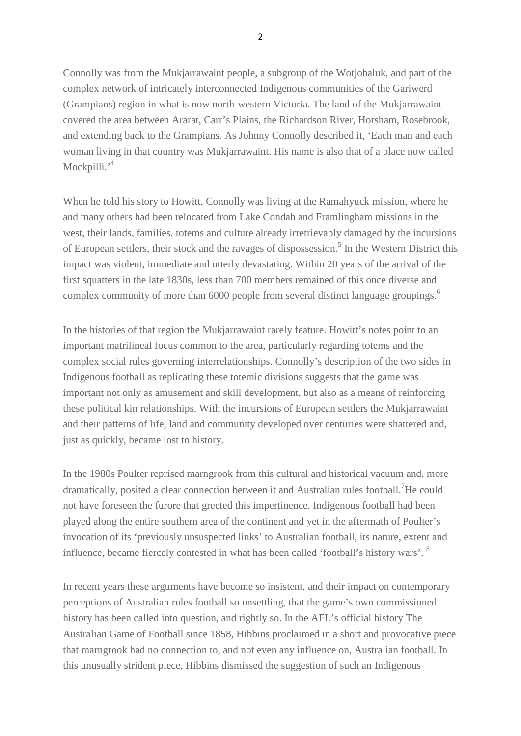Connolly was from the Mukjarrawaint people, a subgroup of the Wotjobaluk, and part of the complex network of intricately interconnected Indigenous communities of the Gariwerd (Grampians) region in what is now north-western Victoria. The land of the Mukjarrawaint covered the area between Ararat, Carr's Plains, the Richardson River, Horsham, Rosebrook, and extending back to the Grampians. As Johnny Connolly described it, 'Each man and each woman living in that country was Mukjarrawaint. His name is also that of a place now called Mockpilli.'<sup>4</sup>

When he told his story to Howitt, Connolly was living at the Ramahyuck mission, where he and many others had been relocated from Lake Condah and Framlingham missions in the west, their lands, families, totems and culture already irretrievably damaged by the incursions of European settlers, their stock and the ravages of dispossession.<sup>5</sup> In the Western District this impact was violent, immediate and utterly devastating. Within 20 years of the arrival of the first squatters in the late 1830s, less than 700 members remained of this once diverse and complex community of more than 6000 people from several distinct language groupings.<sup>6</sup>

In the histories of that region the Mukjarrawaint rarely feature. Howitt's notes point to an important matrilineal focus common to the area, particularly regarding totems and the complex social rules governing interrelationships. Connolly's description of the two sides in Indigenous football as replicating these totemic divisions suggests that the game was important not only as amusement and skill development, but also as a means of reinforcing these political kin relationships. With the incursions of European settlers the Mukjarrawaint and their patterns of life, land and community developed over centuries were shattered and, just as quickly, became lost to history.

In the 1980s Poulter reprised marngrook from this cultural and historical vacuum and, more dramatically, posited a clear connection between it and Australian rules football.<sup>7</sup>He could not have foreseen the furore that greeted this impertinence. Indigenous football had been played along the entire southern area of the continent and yet in the aftermath of Poulter's invocation of its 'previously unsuspected links' to Australian football, its nature, extent and influence, became fiercely contested in what has been called 'football's history wars'. <sup>8</sup>

In recent years these arguments have become so insistent, and their impact on contemporary perceptions of Australian rules football so unsettling, that the game's own commissioned history has been called into question, and rightly so. In the AFL's official history The Australian Game of Football since 1858, Hibbins proclaimed in a short and provocative piece that marngrook had no connection to, and not even any influence on, Australian football. In this unusually strident piece, Hibbins dismissed the suggestion of such an Indigenous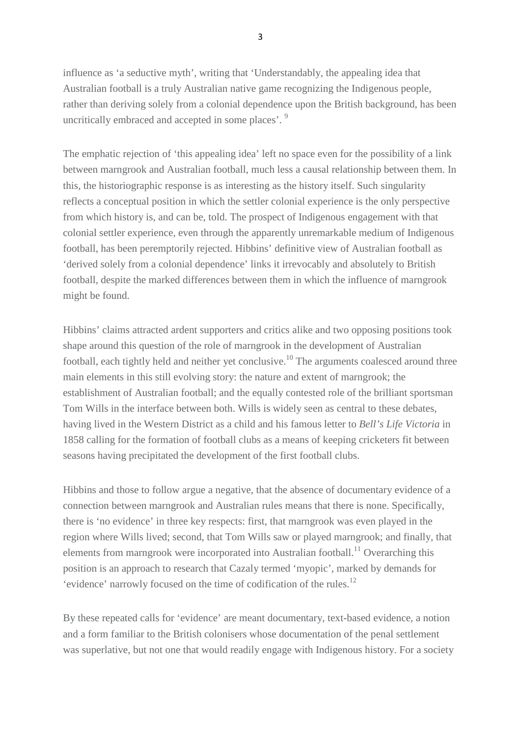influence as 'a seductive myth', writing that 'Understandably, the appealing idea that Australian football is a truly Australian native game recognizing the Indigenous people, rather than deriving solely from a colonial dependence upon the British background, has been uncritically embraced and accepted in some places'. <sup>9</sup>

The emphatic rejection of 'this appealing idea' left no space even for the possibility of a link between marngrook and Australian football, much less a causal relationship between them. In this, the historiographic response is as interesting as the history itself. Such singularity reflects a conceptual position in which the settler colonial experience is the only perspective from which history is, and can be, told. The prospect of Indigenous engagement with that colonial settler experience, even through the apparently unremarkable medium of Indigenous football, has been peremptorily rejected. Hibbins' definitive view of Australian football as 'derived solely from a colonial dependence' links it irrevocably and absolutely to British football, despite the marked differences between them in which the influence of marngrook might be found.

Hibbins' claims attracted ardent supporters and critics alike and two opposing positions took shape around this question of the role of marngrook in the development of Australian football, each tightly held and neither yet conclusive.<sup>10</sup> The arguments coalesced around three main elements in this still evolving story: the nature and extent of marngrook; the establishment of Australian football; and the equally contested role of the brilliant sportsman Tom Wills in the interface between both. Wills is widely seen as central to these debates, having lived in the Western District as a child and his famous letter to *Bell's Life Victoria* in 1858 calling for the formation of football clubs as a means of keeping cricketers fit between seasons having precipitated the development of the first football clubs.

Hibbins and those to follow argue a negative, that the absence of documentary evidence of a connection between marngrook and Australian rules means that there is none. Specifically, there is 'no evidence' in three key respects: first, that marngrook was even played in the region where Wills lived; second, that Tom Wills saw or played marngrook; and finally, that elements from marngrook were incorporated into Australian football.<sup>11</sup> Overarching this position is an approach to research that Cazaly termed 'myopic', marked by demands for 'evidence' narrowly focused on the time of codification of the rules.12

By these repeated calls for 'evidence' are meant documentary, text-based evidence, a notion and a form familiar to the British colonisers whose documentation of the penal settlement was superlative, but not one that would readily engage with Indigenous history. For a society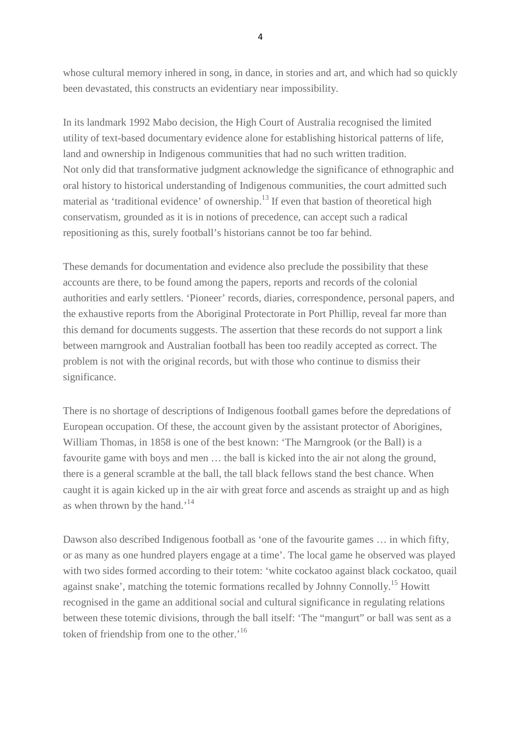whose cultural memory inhered in song, in dance, in stories and art, and which had so quickly been devastated, this constructs an evidentiary near impossibility.

In its landmark 1992 Mabo decision, the High Court of Australia recognised the limited utility of text-based documentary evidence alone for establishing historical patterns of life, land and ownership in Indigenous communities that had no such written tradition. Not only did that transformative judgment acknowledge the significance of ethnographic and oral history to historical understanding of Indigenous communities, the court admitted such material as 'traditional evidence' of ownership. $^{13}$  If even that bastion of theoretical high conservatism, grounded as it is in notions of precedence, can accept such a radical repositioning as this, surely football's historians cannot be too far behind.

These demands for documentation and evidence also preclude the possibility that these accounts are there, to be found among the papers, reports and records of the colonial authorities and early settlers. 'Pioneer' records, diaries, correspondence, personal papers, and the exhaustive reports from the Aboriginal Protectorate in Port Phillip, reveal far more than this demand for documents suggests. The assertion that these records do not support a link between marngrook and Australian football has been too readily accepted as correct. The problem is not with the original records, but with those who continue to dismiss their significance.

There is no shortage of descriptions of Indigenous football games before the depredations of European occupation. Of these, the account given by the assistant protector of Aborigines, William Thomas, in 1858 is one of the best known: 'The Marngrook (or the Ball) is a favourite game with boys and men … the ball is kicked into the air not along the ground, there is a general scramble at the ball, the tall black fellows stand the best chance. When caught it is again kicked up in the air with great force and ascends as straight up and as high as when thrown by the hand.<sup>'14</sup>

Dawson also described Indigenous football as 'one of the favourite games … in which fifty, or as many as one hundred players engage at a time'. The local game he observed was played with two sides formed according to their totem: 'white cockatoo against black cockatoo, quail against snake', matching the totemic formations recalled by Johnny Connolly.<sup>15</sup> Howitt recognised in the game an additional social and cultural significance in regulating relations between these totemic divisions, through the ball itself: 'The "mangurt" or ball was sent as a token of friendship from one to the other.'16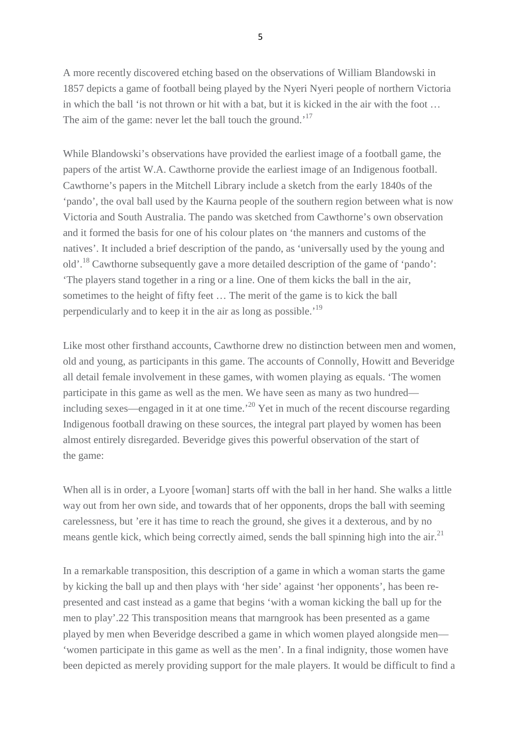A more recently discovered etching based on the observations of William Blandowski in 1857 depicts a game of football being played by the Nyeri Nyeri people of northern Victoria in which the ball 'is not thrown or hit with a bat, but it is kicked in the air with the foot … The aim of the game: never let the ball touch the ground.<sup>'17</sup>

While Blandowski's observations have provided the earliest image of a football game, the papers of the artist W.A. Cawthorne provide the earliest image of an Indigenous football. Cawthorne's papers in the Mitchell Library include a sketch from the early 1840s of the 'pando', the oval ball used by the Kaurna people of the southern region between what is now Victoria and South Australia. The pando was sketched from Cawthorne's own observation and it formed the basis for one of his colour plates on 'the manners and customs of the natives'. It included a brief description of the pando, as 'universally used by the young and old'.18 Cawthorne subsequently gave a more detailed description of the game of 'pando': 'The players stand together in a ring or a line. One of them kicks the ball in the air, sometimes to the height of fifty feet … The merit of the game is to kick the ball perpendicularly and to keep it in the air as long as possible.'19

Like most other firsthand accounts, Cawthorne drew no distinction between men and women, old and young, as participants in this game. The accounts of Connolly, Howitt and Beveridge all detail female involvement in these games, with women playing as equals. 'The women participate in this game as well as the men. We have seen as many as two hundred including sexes—engaged in it at one time.<sup>20</sup> Yet in much of the recent discourse regarding Indigenous football drawing on these sources, the integral part played by women has been almost entirely disregarded. Beveridge gives this powerful observation of the start of the game:

When all is in order, a Lyoore [woman] starts off with the ball in her hand. She walks a little way out from her own side, and towards that of her opponents, drops the ball with seeming carelessness, but 'ere it has time to reach the ground, she gives it a dexterous, and by no means gentle kick, which being correctly aimed, sends the ball spinning high into the air.<sup>21</sup>

In a remarkable transposition, this description of a game in which a woman starts the game by kicking the ball up and then plays with 'her side' against 'her opponents', has been represented and cast instead as a game that begins 'with a woman kicking the ball up for the men to play'.22 This transposition means that marngrook has been presented as a game played by men when Beveridge described a game in which women played alongside men— 'women participate in this game as well as the men'. In a final indignity, those women have been depicted as merely providing support for the male players. It would be difficult to find a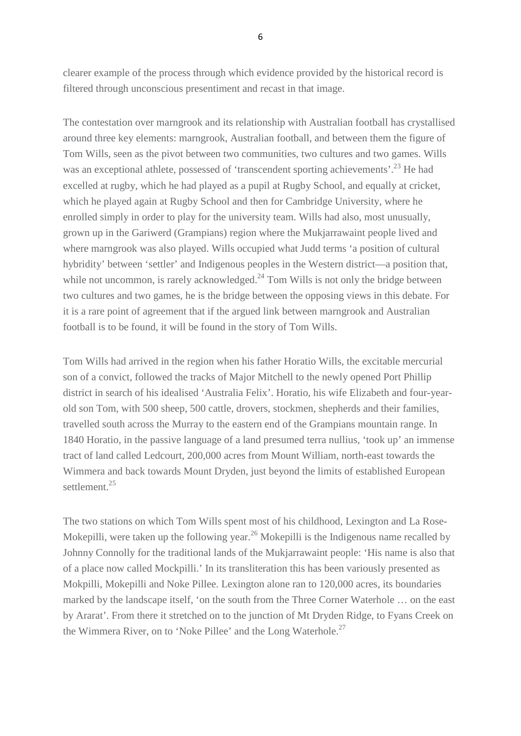clearer example of the process through which evidence provided by the historical record is filtered through unconscious presentiment and recast in that image.

The contestation over marngrook and its relationship with Australian football has crystallised around three key elements: marngrook, Australian football, and between them the figure of Tom Wills, seen as the pivot between two communities, two cultures and two games. Wills was an exceptional athlete, possessed of 'transcendent sporting achievements'.<sup>23</sup> He had excelled at rugby, which he had played as a pupil at Rugby School, and equally at cricket, which he played again at Rugby School and then for Cambridge University, where he enrolled simply in order to play for the university team. Wills had also, most unusually, grown up in the Gariwerd (Grampians) region where the Mukjarrawaint people lived and where marngrook was also played. Wills occupied what Judd terms 'a position of cultural hybridity' between 'settler' and Indigenous peoples in the Western district—a position that, while not uncommon, is rarely acknowledged. $^{24}$  Tom Wills is not only the bridge between two cultures and two games, he is the bridge between the opposing views in this debate. For it is a rare point of agreement that if the argued link between marngrook and Australian football is to be found, it will be found in the story of Tom Wills.

Tom Wills had arrived in the region when his father Horatio Wills, the excitable mercurial son of a convict, followed the tracks of Major Mitchell to the newly opened Port Phillip district in search of his idealised 'Australia Felix'. Horatio, his wife Elizabeth and four-yearold son Tom, with 500 sheep, 500 cattle, drovers, stockmen, shepherds and their families, travelled south across the Murray to the eastern end of the Grampians mountain range. In 1840 Horatio, in the passive language of a land presumed terra nullius, 'took up' an immense tract of land called Ledcourt, 200,000 acres from Mount William, north-east towards the Wimmera and back towards Mount Dryden, just beyond the limits of established European settlement.<sup>25</sup>

The two stations on which Tom Wills spent most of his childhood, Lexington and La Rose-Mokepilli, were taken up the following year.<sup>26</sup> Mokepilli is the Indigenous name recalled by Johnny Connolly for the traditional lands of the Mukjarrawaint people: 'His name is also that of a place now called Mockpilli.' In its transliteration this has been variously presented as Mokpilli, Mokepilli and Noke Pillee. Lexington alone ran to 120,000 acres, its boundaries marked by the landscape itself, 'on the south from the Three Corner Waterhole … on the east by Ararat'. From there it stretched on to the junction of Mt Dryden Ridge, to Fyans Creek on the Wimmera River, on to 'Noke Pillee' and the Long Waterhole.<sup>27</sup>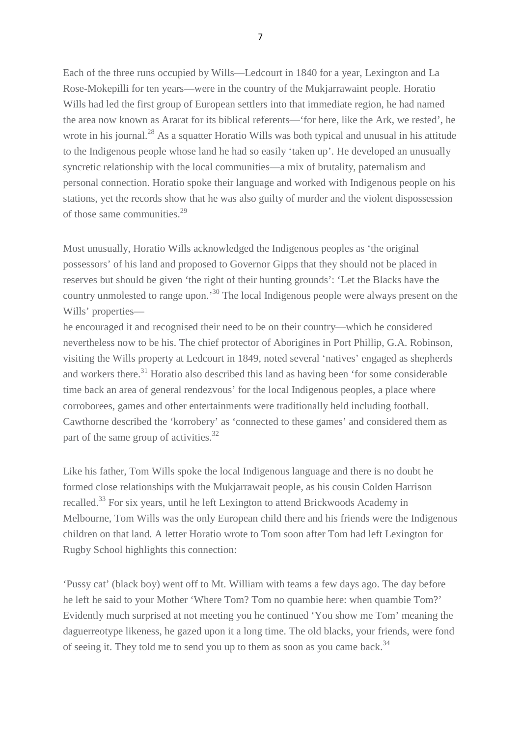Each of the three runs occupied by Wills—Ledcourt in 1840 for a year, Lexington and La Rose-Mokepilli for ten years—were in the country of the Mukjarrawaint people. Horatio Wills had led the first group of European settlers into that immediate region, he had named the area now known as Ararat for its biblical referents—'for here, like the Ark, we rested', he wrote in his journal.<sup>28</sup> As a squatter Horatio Wills was both typical and unusual in his attitude to the Indigenous people whose land he had so easily 'taken up'. He developed an unusually syncretic relationship with the local communities—a mix of brutality, paternalism and personal connection. Horatio spoke their language and worked with Indigenous people on his stations, yet the records show that he was also guilty of murder and the violent dispossession of those same communities.<sup>29</sup>

Most unusually, Horatio Wills acknowledged the Indigenous peoples as 'the original possessors' of his land and proposed to Governor Gipps that they should not be placed in reserves but should be given 'the right of their hunting grounds': 'Let the Blacks have the country unmolested to range upon.'30 The local Indigenous people were always present on the Wills' properties—

he encouraged it and recognised their need to be on their country—which he considered nevertheless now to be his. The chief protector of Aborigines in Port Phillip, G.A. Robinson, visiting the Wills property at Ledcourt in 1849, noted several 'natives' engaged as shepherds and workers there.<sup>31</sup> Horatio also described this land as having been 'for some considerable time back an area of general rendezvous' for the local Indigenous peoples, a place where corroborees, games and other entertainments were traditionally held including football. Cawthorne described the 'korrobery' as 'connected to these games' and considered them as part of the same group of activities.<sup>32</sup>

Like his father, Tom Wills spoke the local Indigenous language and there is no doubt he formed close relationships with the Mukjarrawait people, as his cousin Colden Harrison recalled.33 For six years, until he left Lexington to attend Brickwoods Academy in Melbourne, Tom Wills was the only European child there and his friends were the Indigenous children on that land. A letter Horatio wrote to Tom soon after Tom had left Lexington for Rugby School highlights this connection:

'Pussy cat' (black boy) went off to Mt. William with teams a few days ago. The day before he left he said to your Mother 'Where Tom? Tom no quambie here: when quambie Tom?' Evidently much surprised at not meeting you he continued 'You show me Tom' meaning the daguerreotype likeness, he gazed upon it a long time. The old blacks, your friends, were fond of seeing it. They told me to send you up to them as soon as you came back.<sup>34</sup>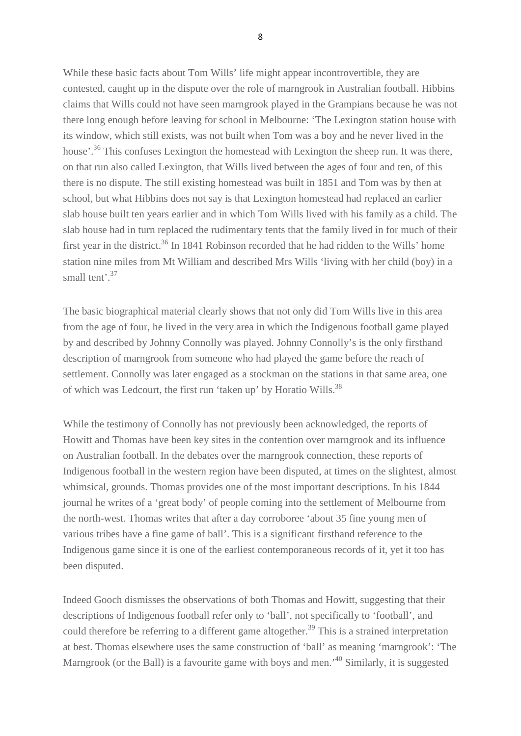While these basic facts about Tom Wills' life might appear incontrovertible, they are contested, caught up in the dispute over the role of marngrook in Australian football. Hibbins claims that Wills could not have seen marngrook played in the Grampians because he was not there long enough before leaving for school in Melbourne: 'The Lexington station house with its window, which still exists, was not built when Tom was a boy and he never lived in the house'.<sup>36</sup> This confuses Lexington the homestead with Lexington the sheep run. It was there, on that run also called Lexington, that Wills lived between the ages of four and ten, of this there is no dispute. The still existing homestead was built in 1851 and Tom was by then at school, but what Hibbins does not say is that Lexington homestead had replaced an earlier slab house built ten years earlier and in which Tom Wills lived with his family as a child. The slab house had in turn replaced the rudimentary tents that the family lived in for much of their first year in the district.<sup>36</sup> In 1841 Robinson recorded that he had ridden to the Wills' home station nine miles from Mt William and described Mrs Wills 'living with her child (boy) in a small tent<sup>37</sup>

The basic biographical material clearly shows that not only did Tom Wills live in this area from the age of four, he lived in the very area in which the Indigenous football game played by and described by Johnny Connolly was played. Johnny Connolly's is the only firsthand description of marngrook from someone who had played the game before the reach of settlement. Connolly was later engaged as a stockman on the stations in that same area, one of which was Ledcourt, the first run 'taken up' by Horatio Wills.<sup>38</sup>

While the testimony of Connolly has not previously been acknowledged, the reports of Howitt and Thomas have been key sites in the contention over marngrook and its influence on Australian football. In the debates over the marngrook connection, these reports of Indigenous football in the western region have been disputed, at times on the slightest, almost whimsical, grounds. Thomas provides one of the most important descriptions. In his 1844 journal he writes of a 'great body' of people coming into the settlement of Melbourne from the north-west. Thomas writes that after a day corroboree 'about 35 fine young men of various tribes have a fine game of ball'. This is a significant firsthand reference to the Indigenous game since it is one of the earliest contemporaneous records of it, yet it too has been disputed.

Indeed Gooch dismisses the observations of both Thomas and Howitt, suggesting that their descriptions of Indigenous football refer only to 'ball', not specifically to 'football', and could therefore be referring to a different game altogether.<sup>39</sup> This is a strained interpretation at best. Thomas elsewhere uses the same construction of 'ball' as meaning 'marngrook': 'The Marngrook (or the Ball) is a favourite game with boys and men.<sup>40</sup> Similarly, it is suggested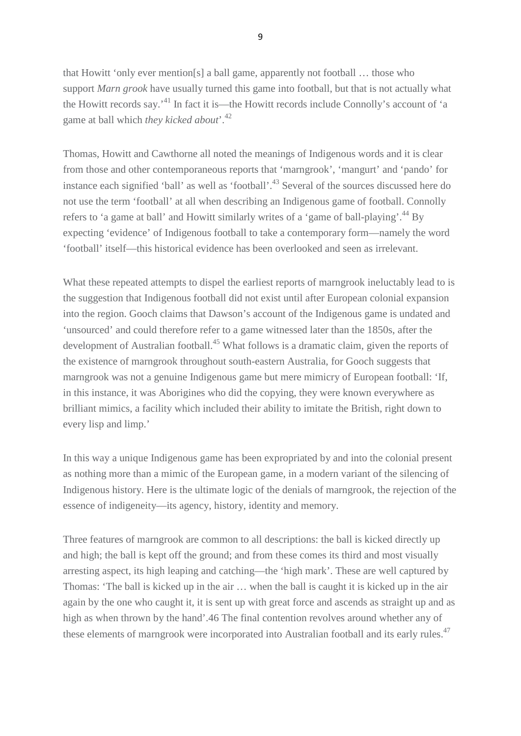that Howitt 'only ever mention[s] a ball game, apparently not football … those who support *Marn grook* have usually turned this game into football, but that is not actually what the Howitt records say.'41 In fact it is—the Howitt records include Connolly's account of 'a game at ball which *they kicked about*'.42

Thomas, Howitt and Cawthorne all noted the meanings of Indigenous words and it is clear from those and other contemporaneous reports that 'marngrook', 'mangurt' and 'pando' for instance each signified 'ball' as well as 'football'.<sup>43</sup> Several of the sources discussed here do not use the term 'football' at all when describing an Indigenous game of football. Connolly refers to 'a game at ball' and Howitt similarly writes of a 'game of ball-playing'.<sup>44</sup> By expecting 'evidence' of Indigenous football to take a contemporary form—namely the word 'football' itself—this historical evidence has been overlooked and seen as irrelevant.

What these repeated attempts to dispel the earliest reports of marngrook ineluctably lead to is the suggestion that Indigenous football did not exist until after European colonial expansion into the region. Gooch claims that Dawson's account of the Indigenous game is undated and 'unsourced' and could therefore refer to a game witnessed later than the 1850s, after the development of Australian football.<sup>45</sup> What follows is a dramatic claim, given the reports of the existence of marngrook throughout south-eastern Australia, for Gooch suggests that marngrook was not a genuine Indigenous game but mere mimicry of European football: 'If, in this instance, it was Aborigines who did the copying, they were known everywhere as brilliant mimics, a facility which included their ability to imitate the British, right down to every lisp and limp.'

In this way a unique Indigenous game has been expropriated by and into the colonial present as nothing more than a mimic of the European game, in a modern variant of the silencing of Indigenous history. Here is the ultimate logic of the denials of marngrook, the rejection of the essence of indigeneity—its agency, history, identity and memory.

Three features of marngrook are common to all descriptions: the ball is kicked directly up and high; the ball is kept off the ground; and from these comes its third and most visually arresting aspect, its high leaping and catching—the 'high mark'. These are well captured by Thomas: 'The ball is kicked up in the air … when the ball is caught it is kicked up in the air again by the one who caught it, it is sent up with great force and ascends as straight up and as high as when thrown by the hand'.46 The final contention revolves around whether any of these elements of marngrook were incorporated into Australian football and its early rules.<sup>47</sup>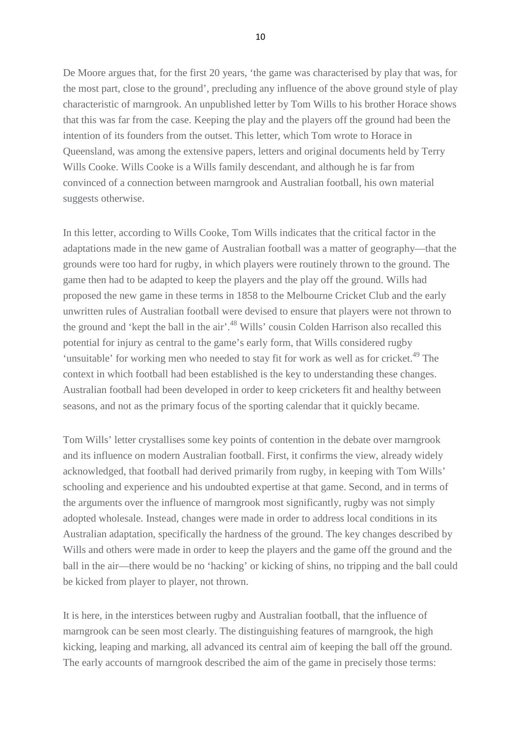De Moore argues that, for the first 20 years, 'the game was characterised by play that was, for the most part, close to the ground', precluding any influence of the above ground style of play characteristic of marngrook. An unpublished letter by Tom Wills to his brother Horace shows that this was far from the case. Keeping the play and the players off the ground had been the intention of its founders from the outset. This letter, which Tom wrote to Horace in Queensland, was among the extensive papers, letters and original documents held by Terry Wills Cooke. Wills Cooke is a Wills family descendant, and although he is far from convinced of a connection between marngrook and Australian football, his own material suggests otherwise.

In this letter, according to Wills Cooke, Tom Wills indicates that the critical factor in the adaptations made in the new game of Australian football was a matter of geography—that the grounds were too hard for rugby, in which players were routinely thrown to the ground. The game then had to be adapted to keep the players and the play off the ground. Wills had proposed the new game in these terms in 1858 to the Melbourne Cricket Club and the early unwritten rules of Australian football were devised to ensure that players were not thrown to the ground and 'kept the ball in the air'.<sup>48</sup> Wills' cousin Colden Harrison also recalled this potential for injury as central to the game's early form, that Wills considered rugby 'unsuitable' for working men who needed to stay fit for work as well as for cricket.<sup>49</sup> The context in which football had been established is the key to understanding these changes. Australian football had been developed in order to keep cricketers fit and healthy between seasons, and not as the primary focus of the sporting calendar that it quickly became.

Tom Wills' letter crystallises some key points of contention in the debate over marngrook and its influence on modern Australian football. First, it confirms the view, already widely acknowledged, that football had derived primarily from rugby, in keeping with Tom Wills' schooling and experience and his undoubted expertise at that game. Second, and in terms of the arguments over the influence of marngrook most significantly, rugby was not simply adopted wholesale. Instead, changes were made in order to address local conditions in its Australian adaptation, specifically the hardness of the ground. The key changes described by Wills and others were made in order to keep the players and the game off the ground and the ball in the air—there would be no 'hacking' or kicking of shins, no tripping and the ball could be kicked from player to player, not thrown.

It is here, in the interstices between rugby and Australian football, that the influence of marngrook can be seen most clearly. The distinguishing features of marngrook, the high kicking, leaping and marking, all advanced its central aim of keeping the ball off the ground. The early accounts of marngrook described the aim of the game in precisely those terms: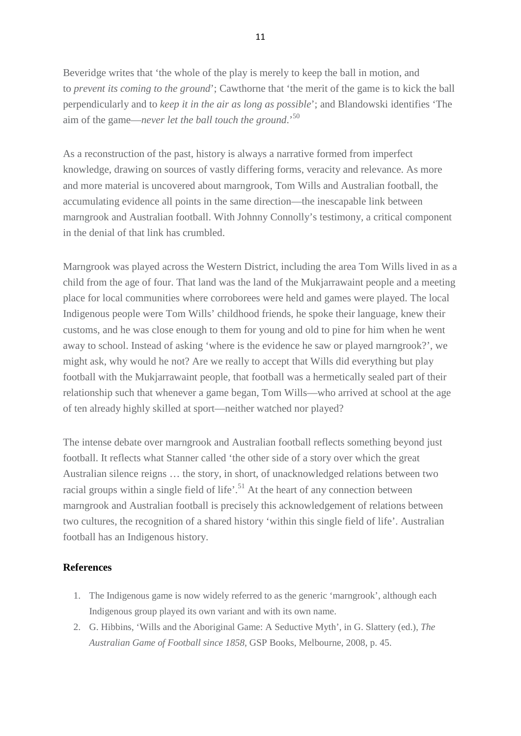Beveridge writes that 'the whole of the play is merely to keep the ball in motion, and to *prevent its coming to the ground*'; Cawthorne that 'the merit of the game is to kick the ball perpendicularly and to *keep it in the air as long as possible*'; and Blandowski identifies 'The aim of the game—*never let the ball touch the ground*.'50

As a reconstruction of the past, history is always a narrative formed from imperfect knowledge, drawing on sources of vastly differing forms, veracity and relevance. As more and more material is uncovered about marngrook, Tom Wills and Australian football, the accumulating evidence all points in the same direction—the inescapable link between marngrook and Australian football. With Johnny Connolly's testimony, a critical component in the denial of that link has crumbled.

Marngrook was played across the Western District, including the area Tom Wills lived in as a child from the age of four. That land was the land of the Mukjarrawaint people and a meeting place for local communities where corroborees were held and games were played. The local Indigenous people were Tom Wills' childhood friends, he spoke their language, knew their customs, and he was close enough to them for young and old to pine for him when he went away to school. Instead of asking 'where is the evidence he saw or played marngrook?', we might ask, why would he not? Are we really to accept that Wills did everything but play football with the Mukjarrawaint people, that football was a hermetically sealed part of their relationship such that whenever a game began, Tom Wills—who arrived at school at the age of ten already highly skilled at sport—neither watched nor played?

The intense debate over marngrook and Australian football reflects something beyond just football. It reflects what Stanner called 'the other side of a story over which the great Australian silence reigns … the story, in short, of unacknowledged relations between two racial groups within a single field of life'.<sup>51</sup> At the heart of any connection between marngrook and Australian football is precisely this acknowledgement of relations between two cultures, the recognition of a shared history 'within this single field of life'. Australian football has an Indigenous history.

## **References**

- 1. The Indigenous game is now widely referred to as the generic 'marngrook', although each Indigenous group played its own variant and with its own name.
- 2. G. Hibbins, 'Wills and the Aboriginal Game: A Seductive Myth', in G. Slattery (ed.), *The Australian Game of Football since 1858*, GSP Books, Melbourne, 2008, p. 45.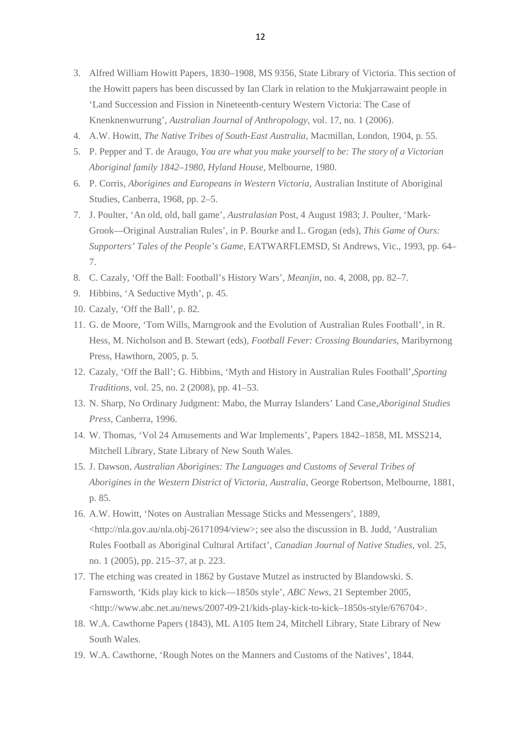- 3. Alfred William Howitt Papers, 1830–1908, MS 9356, State Library of Victoria. This section of the Howitt papers has been discussed by Ian Clark in relation to the Mukjarrawaint people in 'Land Succession and Fission in Nineteenth-century Western Victoria: The Case of Knenknenwurrung', *Australian Journal of Anthropology*, vol. 17, no. 1 (2006).
- 4. A.W. Howitt, *The Native Tribes of South-East Australia*, Macmillan, London, 1904, p. 55.
- 5. P. Pepper and T. de Araugo, *You are what you make yourself to be: The story of a Victorian Aboriginal family 1842–1980, Hyland House*, Melbourne, 1980.
- 6. P. Corris, *Aborigines and Europeans in Western Victoria*, Australian Institute of Aboriginal Studies, Canberra, 1968, pp. 2–5.
- 7. J. Poulter, 'An old, old, ball game', *Australasian* Post, 4 August 1983; J. Poulter, 'Mark-Grook—Original Australian Rules', in P. Bourke and L. Grogan (eds), *This Game of Ours: Supporters' Tales of the People's Game*, EATWARFLEMSD, St Andrews, Vic., 1993, pp. 64– 7.
- 8. C. Cazaly, 'Off the Ball: Football's History Wars', *Meanjin*, no. 4, 2008, pp. 82–7.
- 9. Hibbins, 'A Seductive Myth', p. 45.
- 10. Cazaly, 'Off the Ball', p. 82.
- 11. G. de Moore, 'Tom Wills, Marngrook and the Evolution of Australian Rules Football', in R. Hess, M. Nicholson and B. Stewart (eds), *Football Fever: Crossing Boundaries*, Maribyrnong Press, Hawthorn, 2005, p. 5.
- 12. Cazaly, 'Off the Ball'; G. Hibbins, 'Myth and History in Australian Rules Football',*Sporting Traditions*, vol. 25, no. 2 (2008), pp. 41–53.
- 13. N. Sharp, No Ordinary Judgment: Mabo, the Murray Islanders' Land Case,*Aboriginal Studies Press*, Canberra, 1996.
- 14. W. Thomas, 'Vol 24 Amusements and War Implements', Papers 1842–1858, ML MSS214, Mitchell Library, State Library of New South Wales.
- 15. J. Dawson, *Australian Aborigines: The Languages and Customs of Several Tribes of Aborigines in the Western District of Victoria, Australia*, George Robertson, Melbourne, 1881, p. 85.
- 16. A.W. Howitt, 'Notes on Australian Message Sticks and Messengers', 1889, <http://nla.gov.au/nla.obj-26171094/view>; see also the discussion in B. Judd, 'Australian Rules Football as Aboriginal Cultural Artifact', *Canadian Journal of Native Studies*, vol. 25, no. 1 (2005), pp. 215–37, at p. 223.
- 17. The etching was created in 1862 by Gustave Mutzel as instructed by Blandowski. S. Farnsworth, 'Kids play kick to kick—1850s style', *ABC News*, 21 September 2005, <http://www.abc.net.au/news/2007-09-21/kids-play-kick-to-kick–1850s-style/676704>.
- 18. W.A. Cawthorne Papers (1843), ML A105 Item 24, Mitchell Library, State Library of New South Wales.
- 19. W.A. Cawthorne, 'Rough Notes on the Manners and Customs of the Natives', 1844.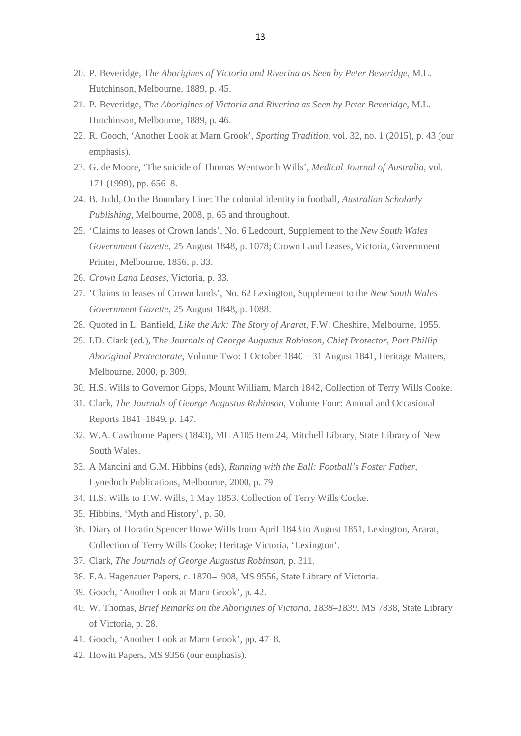- 20. P. Beveridge, T*he Aborigines of Victoria and Riverina as Seen by Peter Beveridge*, M.L. Hutchinson, Melbourne, 1889, p. 45.
- 21. P. Beveridge, *The Aborigines of Victoria and Riverina as Seen by Peter Beveridge*, M.L. Hutchinson, Melbourne, 1889, p. 46.
- 22. R. Gooch, 'Another Look at Marn Grook', *Sporting Tradition*, vol. 32, no. 1 (2015), p. 43 (our emphasis).
- 23. G. de Moore, 'The suicide of Thomas Wentworth Wills', *Medical Journal of Australia*, vol. 171 (1999), pp. 656–8.
- 24. B. Judd, On the Boundary Line: The colonial identity in football, *Australian Scholarly Publishing*, Melbourne, 2008, p. 65 and throughout.
- 25. 'Claims to leases of Crown lands', No. 6 Ledcourt, Supplement to the *New South Wales Government Gazette*, 25 August 1848, p. 1078; Crown Land Leases, Victoria, Government Printer, Melbourne, 1856, p. 33.
- 26. *Crown Land Leases*, Victoria, p. 33.
- 27. 'Claims to leases of Crown lands', No. 62 Lexington, Supplement to the *New South Wales Government Gazette*, 25 August 1848, p. 1088.
- 28. Quoted in L. Banfield, *Like the Ark: The Story of Ararat*, F.W. Cheshire, Melbourne, 1955.
- 29. I.D. Clark (ed.), T*he Journals of George Augustus Robinson, Chief Protector, Port Phillip Aboriginal Protectorate*, Volume Two: 1 October 1840 – 31 August 1841, Heritage Matters, Melbourne, 2000, p. 309.
- 30. H.S. Wills to Governor Gipps, Mount William, March 1842, Collection of Terry Wills Cooke.
- 31. Clark, *The Journals of George Augustus Robinson*, Volume Four: Annual and Occasional Reports 1841–1849, p. 147.
- 32. W.A. Cawthorne Papers (1843), ML A105 Item 24, Mitchell Library, State Library of New South Wales.
- 33. A Mancini and G.M. Hibbins (eds), *Running with the Ball: Football's Foster Father*, Lynedoch Publications, Melbourne, 2000, p. 79.
- 34. H.S. Wills to T.W. Wills, 1 May 1853. Collection of Terry Wills Cooke.
- 35. Hibbins, 'Myth and History', p. 50.
- 36. Diary of Horatio Spencer Howe Wills from April 1843 to August 1851, Lexington, Ararat, Collection of Terry Wills Cooke; Heritage Victoria, 'Lexington'.
- 37. Clark, *The Journals of George Augustus Robinson*, p. 311.
- 38. F.A. Hagenauer Papers, c. 1870–1908, MS 9556, State Library of Victoria.
- 39. Gooch, 'Another Look at Marn Grook', p. 42.
- 40. W. Thomas, *Brief Remarks on the Aborigines of Victoria, 1838–1839*, MS 7838, State Library of Victoria, p. 28.
- 41. Gooch, 'Another Look at Marn Grook', pp. 47–8.
- 42. Howitt Papers, MS 9356 (our emphasis).